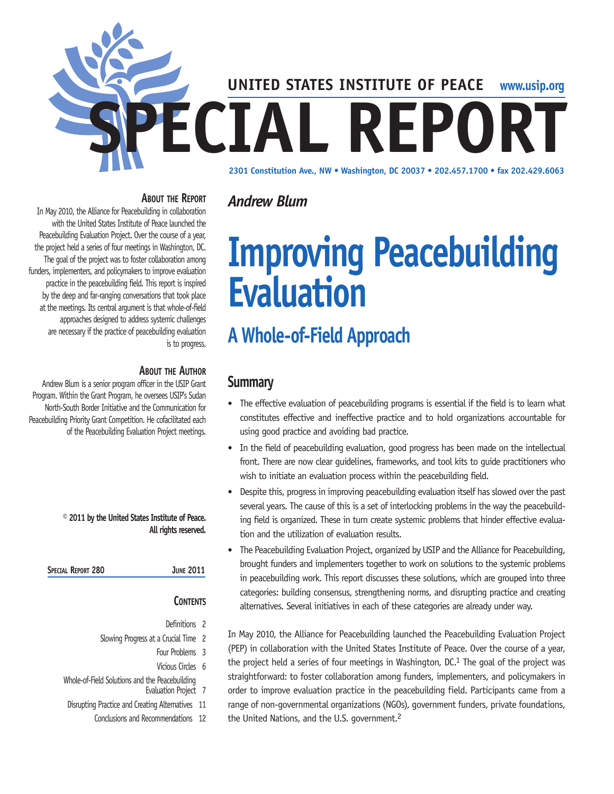

#### **About the Report**

In May 2010, the Alliance for Peacebuilding in collaboration with the United States Institute of Peace launched the Peacebuilding Evaluation Project. Over the course of a year, the project held a series of four meetings in Washington, DC. The goal of the project was to foster collaboration among funders, implementers, and policymakers to improve evaluation practice in the peacebuilding field. This report is inspired by the deep and far-ranging conversations that took place at the meetings. Its central argument is that whole-of-field approaches designed to address systemic challenges are necessary if the practice of peacebuilding evaluation is to progress.

#### **About the Author**

Andrew Blum is a senior program officer in the USIP Grant Program. Within the Grant Program, he oversees USIP's Sudan North-South Border Initiative and the Communication for Peacebuilding Priority Grant Competition. He cofacilitated each of the Peacebuilding Evaluation Project meetings.

> **© 2011 by the United States Institute of Peace. All rights reserved.**

| Special Report 280 | <b>JUNE 2011</b> |
|--------------------|------------------|
|--------------------|------------------|

#### **Contents**

- Definitions 2 Slowing Progress at a Crucial Time 2
	- Four Problems 3
	- Vicious Circles 6
- Whole-of-Field Solutions and the Peacebuilding Evaluation Project 7
- Disrupting Practice and Creating Alternatives 11
	- Conclusions and Recommendations 12

## *Andrew Blum*

# **Improving Peacebuilding Evaluation**

## **A Whole-of-Field Approach**

### **Summary**

- The effective evaluation of peacebuilding programs is essential if the field is to learn what constitutes effective and ineffective practice and to hold organizations accountable for using good practice and avoiding bad practice.
- In the field of peacebuilding evaluation, good progress has been made on the intellectual front. There are now clear guidelines, frameworks, and tool kits to guide practitioners who wish to initiate an evaluation process within the peacebuilding field.
- Despite this, progress in improving peacebuilding evaluation itself has slowed over the past several years. The cause of this is a set of interlocking problems in the way the peacebuilding field is organized. These in turn create systemic problems that hinder effective evaluation and the utilization of evaluation results.
- The Peacebuilding Evaluation Project, organized by USIP and the Alliance for Peacebuilding, brought funders and implementers together to work on solutions to the systemic problems in peacebuilding work. This report discusses these solutions, which are grouped into three categories: building consensus, strengthening norms, and disrupting practice and creating alternatives. Several initiatives in each of these categories are already under way.

In May 2010, the Alliance for Peacebuilding launched the Peacebuilding Evaluation Project (PEP) in collaboration with the United States Institute of Peace. Over the course of a year, the project held a series of four meetings in Washington, DC.<sup>1</sup> The goal of the project was straightforward: to foster collaboration among funders, implementers, and policymakers in order to improve evaluation practice in the peacebuilding field. Participants came from a range of non-governmental organizations (NGOs), government funders, private foundations, the United Nations, and the U.S. government.2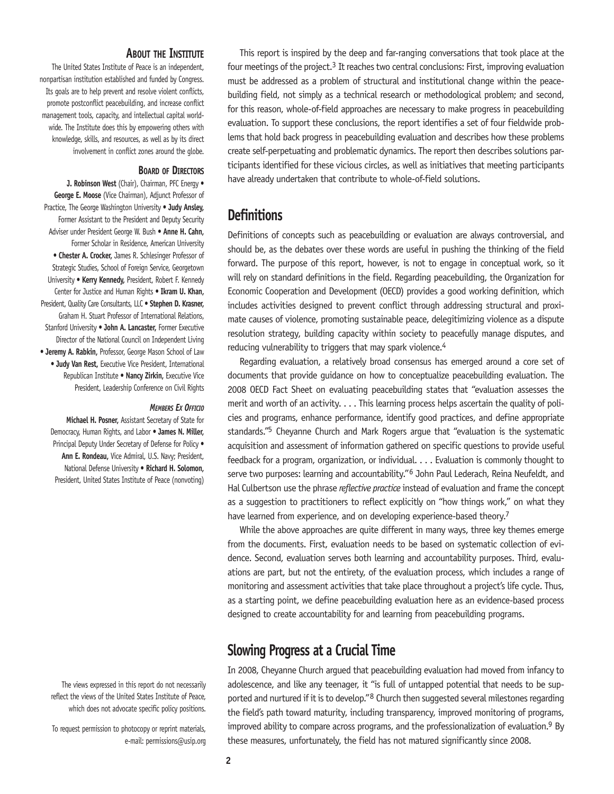#### **About the Institute**

The United States Institute of Peace is an independent, nonpartisan institution established and funded by Congress. Its goals are to help prevent and resolve violent conflicts, promote postconflict peacebuilding, and increase conflict management tools, capacity, and intellectual capital worldwide. The Institute does this by empowering others with knowledge, skills, and resources, as well as by its direct involvement in conflict zones around the globe.

#### **Board of Directors**

**J. Robinson West** (Chair), Chairman, PFC Energy • **George E. Moose** (Vice Chairman), Adjunct Professor of Practice, The George Washington University • **Judy Ansley,** Former Assistant to the President and Deputy Security Adviser under President George W. Bush • **Anne H. Cahn,** Former Scholar in Residence, American University • **Chester A. Crocker,** James R. Schlesinger Professor of Strategic Studies, School of Foreign Service, Georgetown University • **Kerry Kennedy,** President, Robert F. Kennedy Center for Justice and Human Rights • **Ikram U. Khan,** President, Quality Care Consultants, LLC • **Stephen D. Krasner,** Graham H. Stuart Professor of International Relations, Stanford University • **John A. Lancaster,** Former Executive Director of the National Council on Independent Living • **Jeremy A. Rabkin,** Professor, George Mason School of Law • **Judy Van Rest,** Executive Vice President, International Republican Institute • **Nancy Zirkin,** Executive Vice President, Leadership Conference on Civil Rights

#### *Members Ex Officio*

**Michael H. Posner,** Assistant Secretary of State for Democracy, Human Rights, and Labor • **James N. Miller,**  Principal Deputy Under Secretary of Defense for Policy . **Ann E. Rondeau,** Vice Admiral, U.S. Navy; President, National Defense University • **Richard H. Solomon,**  President, United States Institute of Peace (nonvoting)

The views expressed in this report do not necessarily reflect the views of the United States Institute of Peace, which does not advocate specific policy positions.

To request permission to photocopy or reprint materials, e-mail: permissions@usip.org

This report is inspired by the deep and far-ranging conversations that took place at the four meetings of the project.<sup>3</sup> It reaches two central conclusions: First, improving evaluation must be addressed as a problem of structural and institutional change within the peacebuilding field, not simply as a technical research or methodological problem; and second, for this reason, whole-of-field approaches are necessary to make progress in peacebuilding evaluation. To support these conclusions, the report identifies a set of four fieldwide problems that hold back progress in peacebuilding evaluation and describes how these problems create self-perpetuating and problematic dynamics. The report then describes solutions participants identified for these vicious circles, as well as initiatives that meeting participants have already undertaken that contribute to whole-of-field solutions.

## **Definitions**

Definitions of concepts such as peacebuilding or evaluation are always controversial, and should be, as the debates over these words are useful in pushing the thinking of the field forward. The purpose of this report, however, is not to engage in conceptual work, so it will rely on standard definitions in the field. Regarding peacebuilding, the Organization for Economic Cooperation and Development (OECD) provides a good working definition, which includes activities designed to prevent conflict through addressing structural and proximate causes of violence, promoting sustainable peace, delegitimizing violence as a dispute resolution strategy, building capacity within society to peacefully manage disputes, and reducing vulnerability to triggers that may spark violence.<sup>4</sup>

Regarding evaluation, a relatively broad consensus has emerged around a core set of documents that provide guidance on how to conceptualize peacebuilding evaluation. The 2008 OECD Fact Sheet on evaluating peacebuilding states that "evaluation assesses the merit and worth of an activity. . . . This learning process helps ascertain the quality of policies and programs, enhance performance, identify good practices, and define appropriate standards."5 Cheyanne Church and Mark Rogers argue that "evaluation is the systematic acquisition and assessment of information gathered on specific questions to provide useful feedback for a program, organization, or individual. . . . Evaluation is commonly thought to serve two purposes: learning and accountability."<sup>6</sup> John Paul Lederach, Reina Neufeldt, and Hal Culbertson use the phrase *reflective practice* instead of evaluation and frame the concept as a suggestion to practitioners to reflect explicitly on "how things work," on what they have learned from experience, and on developing experience-based theory.<sup>7</sup>

While the above approaches are quite different in many ways, three key themes emerge from the documents. First, evaluation needs to be based on systematic collection of evidence. Second, evaluation serves both learning and accountability purposes. Third, evaluations are part, but not the entirety, of the evaluation process, which includes a range of monitoring and assessment activities that take place throughout a project's life cycle. Thus, as a starting point, we define peacebuilding evaluation here as an evidence-based process designed to create accountability for and learning from peacebuilding programs.

## **Slowing Progress at a Crucial Time**

In 2008, Cheyanne Church argued that peacebuilding evaluation had moved from infancy to adolescence, and like any teenager, it "is full of untapped potential that needs to be supported and nurtured if it is to develop."<sup>8</sup> Church then suggested several milestones regarding the field's path toward maturity, including transparency, improved monitoring of programs, improved ability to compare across programs, and the professionalization of evaluation.<sup>9</sup> By these measures, unfortunately, the field has not matured significantly since 2008.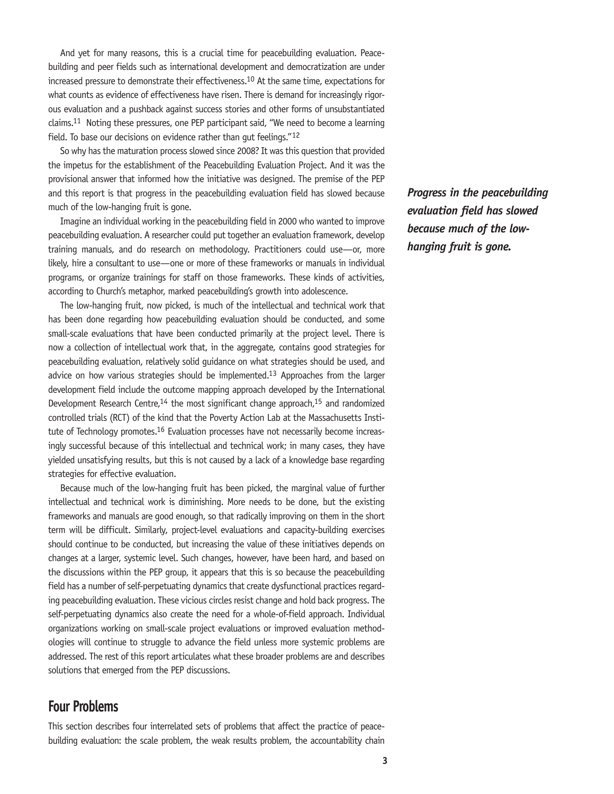And yet for many reasons, this is a crucial time for peacebuilding evaluation. Peacebuilding and peer fields such as international development and democratization are under increased pressure to demonstrate their effectiveness.10 At the same time, expectations for what counts as evidence of effectiveness have risen. There is demand for increasingly rigorous evaluation and a pushback against success stories and other forms of unsubstantiated claims.11 Noting these pressures, one PEP participant said, "We need to become a learning field. To base our decisions on evidence rather than gut feelings."12

So why has the maturation process slowed since 2008? It was this question that provided the impetus for the establishment of the Peacebuilding Evaluation Project. And it was the provisional answer that informed how the initiative was designed. The premise of the PEP and this report is that progress in the peacebuilding evaluation field has slowed because much of the low-hanging fruit is gone.

Imagine an individual working in the peacebuilding field in 2000 who wanted to improve peacebuilding evaluation. A researcher could put together an evaluation framework, develop training manuals, and do research on methodology. Practitioners could use—or, more likely, hire a consultant to use—one or more of these frameworks or manuals in individual programs, or organize trainings for staff on those frameworks. These kinds of activities, according to Church's metaphor, marked peacebuilding's growth into adolescence.

The low-hanging fruit, now picked, is much of the intellectual and technical work that has been done regarding how peacebuilding evaluation should be conducted, and some small-scale evaluations that have been conducted primarily at the project level. There is now a collection of intellectual work that, in the aggregate, contains good strategies for peacebuilding evaluation, relatively solid guidance on what strategies should be used, and advice on how various strategies should be implemented.<sup>13</sup> Approaches from the larger development field include the outcome mapping approach developed by the International Development Research Centre, $14$  the most significant change approach, $15$  and randomized controlled trials (RCT) of the kind that the Poverty Action Lab at the Massachusetts Institute of Technology promotes.<sup>16</sup> Evaluation processes have not necessarily become increasingly successful because of this intellectual and technical work; in many cases, they have yielded unsatisfying results, but this is not caused by a lack of a knowledge base regarding strategies for effective evaluation.

Because much of the low-hanging fruit has been picked, the marginal value of further intellectual and technical work is diminishing. More needs to be done, but the existing frameworks and manuals are good enough, so that radically improving on them in the short term will be difficult. Similarly, project-level evaluations and capacity-building exercises should continue to be conducted, but increasing the value of these initiatives depends on changes at a larger, systemic level. Such changes, however, have been hard, and based on the discussions within the PEP group, it appears that this is so because the peacebuilding field has a number of self-perpetuating dynamics that create dysfunctional practices regarding peacebuilding evaluation. These vicious circles resist change and hold back progress. The self-perpetuating dynamics also create the need for a whole-of-field approach. Individual organizations working on small-scale project evaluations or improved evaluation methodologies will continue to struggle to advance the field unless more systemic problems are addressed. The rest of this report articulates what these broader problems are and describes solutions that emerged from the PEP discussions.

## **Four Problems**

This section describes four interrelated sets of problems that affect the practice of peacebuilding evaluation: the scale problem, the weak results problem, the accountability chain *Progress in the peacebuilding evaluation field has slowed because much of the lowhanging fruit is gone.*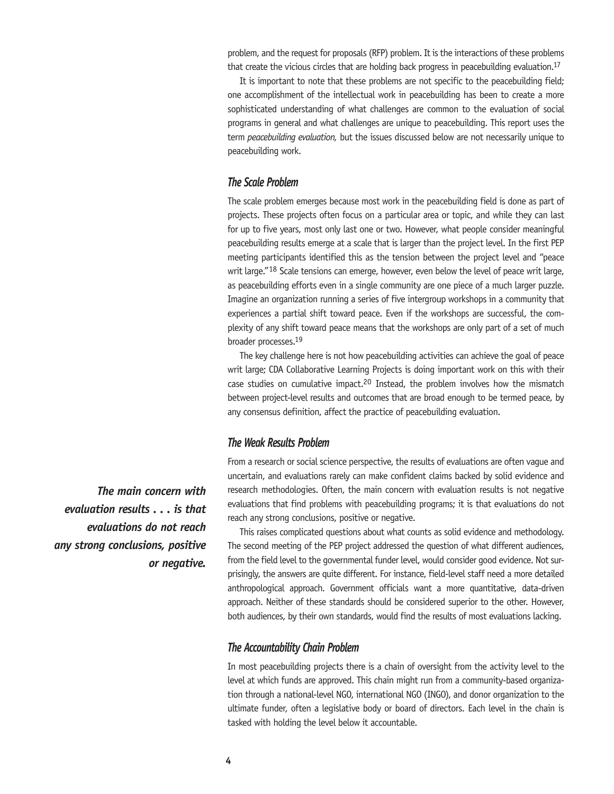problem, and the request for proposals (RFP) problem. It is the interactions of these problems that create the vicious circles that are holding back progress in peacebuilding evaluation.<sup>17</sup>

It is important to note that these problems are not specific to the peacebuilding field; one accomplishment of the intellectual work in peacebuilding has been to create a more sophisticated understanding of what challenges are common to the evaluation of social programs in general and what challenges are unique to peacebuilding. This report uses the term *peacebuilding evaluation,* but the issues discussed below are not necessarily unique to peacebuilding work.

#### *The Scale Problem*

The scale problem emerges because most work in the peacebuilding field is done as part of projects. These projects often focus on a particular area or topic, and while they can last for up to five years, most only last one or two. However, what people consider meaningful peacebuilding results emerge at a scale that is larger than the project level. In the first PEP meeting participants identified this as the tension between the project level and "peace writ large."<sup>18</sup> Scale tensions can emerge, however, even below the level of peace writ large, as peacebuilding efforts even in a single community are one piece of a much larger puzzle. Imagine an organization running a series of five intergroup workshops in a community that experiences a partial shift toward peace. Even if the workshops are successful, the complexity of any shift toward peace means that the workshops are only part of a set of much broader processes.19

The key challenge here is not how peacebuilding activities can achieve the goal of peace writ large; CDA Collaborative Learning Projects is doing important work on this with their case studies on cumulative impact.20 Instead, the problem involves how the mismatch between project-level results and outcomes that are broad enough to be termed peace, by any consensus definition, affect the practice of peacebuilding evaluation.

#### *The Weak Results Problem*

From a research or social science perspective, the results of evaluations are often vague and uncertain, and evaluations rarely can make confident claims backed by solid evidence and research methodologies. Often, the main concern with evaluation results is not negative evaluations that find problems with peacebuilding programs; it is that evaluations do not reach any strong conclusions, positive or negative.

This raises complicated questions about what counts as solid evidence and methodology. The second meeting of the PEP project addressed the question of what different audiences, from the field level to the governmental funder level, would consider good evidence. Not surprisingly, the answers are quite different. For instance, field-level staff need a more detailed anthropological approach. Government officials want a more quantitative, data-driven approach. Neither of these standards should be considered superior to the other. However, both audiences, by their own standards, would find the results of most evaluations lacking.

#### *The Accountability Chain Problem*

In most peacebuilding projects there is a chain of oversight from the activity level to the level at which funds are approved. This chain might run from a community-based organization through a national-level NGO, international NGO (INGO), and donor organization to the ultimate funder, often a legislative body or board of directors. Each level in the chain is tasked with holding the level below it accountable.

*The main concern with evaluation results . . . is that evaluations do not reach any strong conclusions, positive or negative.*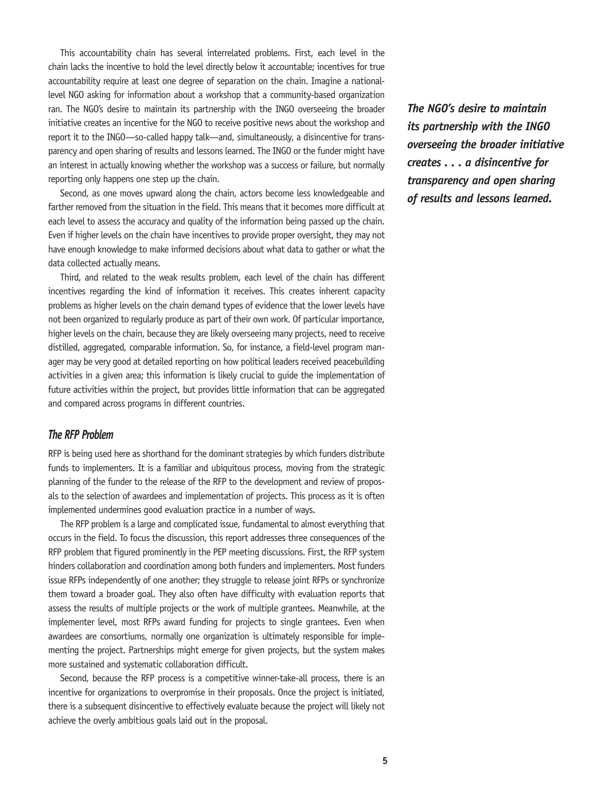This accountability chain has several interrelated problems. First, each level in the chain lacks the incentive to hold the level directly below it accountable; incentives for true accountability require at least one degree of separation on the chain. Imagine a nationallevel NGO asking for information about a workshop that a community-based organization ran. The NGO's desire to maintain its partnership with the INGO overseeing the broader initiative creates an incentive for the NGO to receive positive news about the workshop and report it to the INGO—so-called happy talk—and, simultaneously, a disincentive for transparency and open sharing of results and lessons learned. The INGO or the funder might have an interest in actually knowing whether the workshop was a success or failure, but normally reporting only happens one step up the chain.

Second, as one moves upward along the chain, actors become less knowledgeable and farther removed from the situation in the field. This means that it becomes more difficult at each level to assess the accuracy and quality of the information being passed up the chain. Even if higher levels on the chain have incentives to provide proper oversight, they may not have enough knowledge to make informed decisions about what data to gather or what the data collected actually means.

Third, and related to the weak results problem, each level of the chain has different incentives regarding the kind of information it receives. This creates inherent capacity problems as higher levels on the chain demand types of evidence that the lower levels have not been organized to regularly produce as part of their own work. Of particular importance, higher levels on the chain, because they are likely overseeing many projects, need to receive distilled, aggregated, comparable information. So, for instance, a field-level program manager may be very good at detailed reporting on how political leaders received peacebuilding activities in a given area; this information is likely crucial to guide the implementation of future activities within the project, but provides little information that can be aggregated and compared across programs in different countries.

#### *The RFP Problem*

RFP is being used here as shorthand for the dominant strategies by which funders distribute funds to implementers. It is a familiar and ubiquitous process, moving from the strategic planning of the funder to the release of the RFP to the development and review of proposals to the selection of awardees and implementation of projects. This process as it is often implemented undermines good evaluation practice in a number of ways.

The RFP problem is a large and complicated issue, fundamental to almost everything that occurs in the field. To focus the discussion, this report addresses three consequences of the RFP problem that figured prominently in the PEP meeting discussions. First, the RFP system hinders collaboration and coordination among both funders and implementers. Most funders issue RFPs independently of one another; they struggle to release joint RFPs or synchronize them toward a broader goal. They also often have difficulty with evaluation reports that assess the results of multiple projects or the work of multiple grantees. Meanwhile, at the implementer level, most RFPs award funding for projects to single grantees. Even when awardees are consortiums, normally one organization is ultimately responsible for implementing the project. Partnerships might emerge for given projects, but the system makes more sustained and systematic collaboration difficult.

Second, because the RFP process is a competitive winner-take-all process, there is an incentive for organizations to overpromise in their proposals. Once the project is initiated, there is a subsequent disincentive to effectively evaluate because the project will likely not achieve the overly ambitious goals laid out in the proposal.

*The NGO's desire to maintain its partnership with the INGO overseeing the broader initiative creates . . . a disincentive for transparency and open sharing of results and lessons learned.*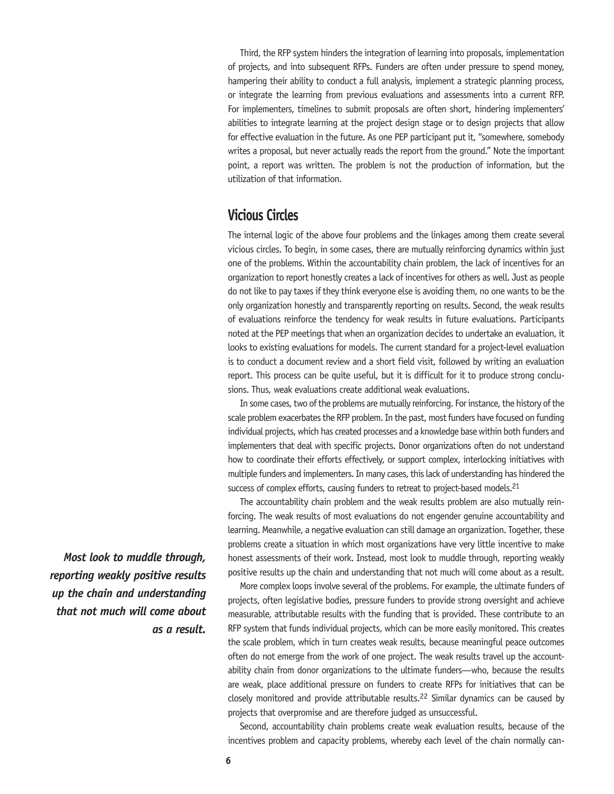Third, the RFP system hinders the integration of learning into proposals, implementation of projects, and into subsequent RFPs. Funders are often under pressure to spend money, hampering their ability to conduct a full analysis, implement a strategic planning process, or integrate the learning from previous evaluations and assessments into a current RFP. For implementers, timelines to submit proposals are often short, hindering implementers' abilities to integrate learning at the project design stage or to design projects that allow for effective evaluation in the future. As one PEP participant put it, "somewhere, somebody writes a proposal, but never actually reads the report from the ground." Note the important point, a report was written. The problem is not the production of information, but the utilization of that information.

## **Vicious Circles**

The internal logic of the above four problems and the linkages among them create several vicious circles. To begin, in some cases, there are mutually reinforcing dynamics within just one of the problems. Within the accountability chain problem, the lack of incentives for an organization to report honestly creates a lack of incentives for others as well. Just as people do not like to pay taxes if they think everyone else is avoiding them, no one wants to be the only organization honestly and transparently reporting on results. Second, the weak results of evaluations reinforce the tendency for weak results in future evaluations. Participants noted at the PEP meetings that when an organization decides to undertake an evaluation, it looks to existing evaluations for models. The current standard for a project-level evaluation is to conduct a document review and a short field visit, followed by writing an evaluation report. This process can be quite useful, but it is difficult for it to produce strong conclusions. Thus, weak evaluations create additional weak evaluations.

In some cases, two of the problems are mutually reinforcing. For instance, the history of the scale problem exacerbates the RFP problem. In the past, most funders have focused on funding individual projects, which has created processes and a knowledge base within both funders and implementers that deal with specific projects. Donor organizations often do not understand how to coordinate their efforts effectively, or support complex, interlocking initiatives with multiple funders and implementers. In many cases, this lack of understanding has hindered the success of complex efforts, causing funders to retreat to project-based models.<sup>21</sup>

The accountability chain problem and the weak results problem are also mutually reinforcing. The weak results of most evaluations do not engender genuine accountability and learning. Meanwhile, a negative evaluation can still damage an organization. Together, these problems create a situation in which most organizations have very little incentive to make honest assessments of their work. Instead, most look to muddle through, reporting weakly positive results up the chain and understanding that not much will come about as a result.

More complex loops involve several of the problems. For example, the ultimate funders of projects, often legislative bodies, pressure funders to provide strong oversight and achieve measurable, attributable results with the funding that is provided. These contribute to an RFP system that funds individual projects, which can be more easily monitored. This creates the scale problem, which in turn creates weak results, because meaningful peace outcomes often do not emerge from the work of one project. The weak results travel up the accountability chain from donor organizations to the ultimate funders—who, because the results are weak, place additional pressure on funders to create RFPs for initiatives that can be closely monitored and provide attributable results.<sup>22</sup> Similar dynamics can be caused by projects that overpromise and are therefore judged as unsuccessful.

Second, accountability chain problems create weak evaluation results, because of the incentives problem and capacity problems, whereby each level of the chain normally can-

*Most look to muddle through, reporting weakly positive results up the chain and understanding that not much will come about as a result.*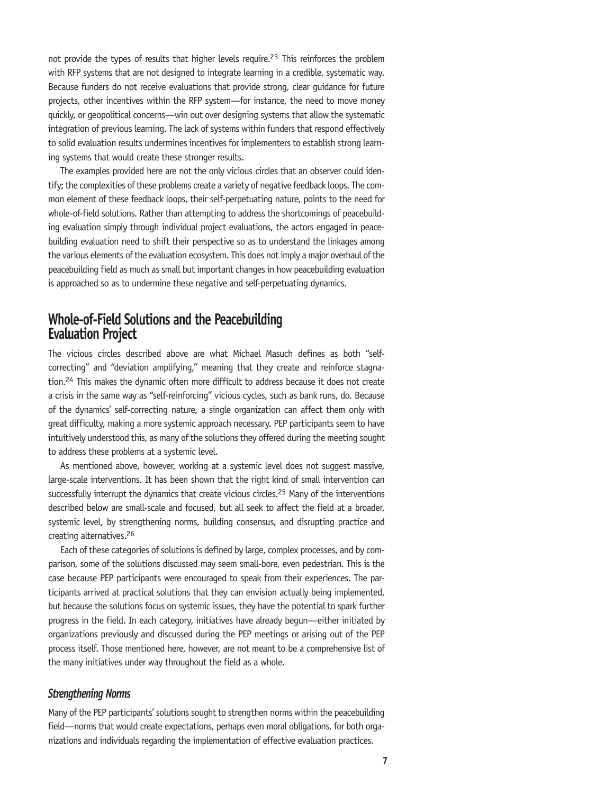not provide the types of results that higher levels require.<sup>23</sup> This reinforces the problem with RFP systems that are not designed to integrate learning in a credible, systematic way. Because funders do not receive evaluations that provide strong, clear guidance for future projects, other incentives within the RFP system—for instance, the need to move money quickly, or geopolitical concerns—win out over designing systems that allow the systematic integration of previous learning. The lack of systems within funders that respond effectively to solid evaluation results undermines incentives for implementers to establish strong learning systems that would create these stronger results.

The examples provided here are not the only vicious circles that an observer could identify; the complexities of these problems create a variety of negative feedback loops. The common element of these feedback loops, their self-perpetuating nature, points to the need for whole-of-field solutions. Rather than attempting to address the shortcomings of peacebuilding evaluation simply through individual project evaluations, the actors engaged in peacebuilding evaluation need to shift their perspective so as to understand the linkages among the various elements of the evaluation ecosystem. This does not imply a major overhaul of the peacebuilding field as much as small but important changes in how peacebuilding evaluation is approached so as to undermine these negative and self-perpetuating dynamics.

## **Whole-of-Field Solutions and the Peacebuilding Evaluation Project**

The vicious circles described above are what Michael Masuch defines as both "selfcorrecting" and "deviation amplifying," meaning that they create and reinforce stagnation.24 This makes the dynamic often more difficult to address because it does not create a crisis in the same way as "self-reinforcing" vicious cycles, such as bank runs, do. Because of the dynamics' self-correcting nature, a single organization can affect them only with great difficulty, making a more systemic approach necessary. PEP participants seem to have intuitively understood this, as many of the solutions they offered during the meeting sought to address these problems at a systemic level.

As mentioned above, however, working at a systemic level does not suggest massive, large-scale interventions. It has been shown that the right kind of small intervention can successfully interrupt the dynamics that create vicious circles.25 Many of the interventions described below are small-scale and focused, but all seek to affect the field at a broader, systemic level, by strengthening norms, building consensus, and disrupting practice and creating alternatives.26

Each of these categories of solutions is defined by large, complex processes, and by comparison, some of the solutions discussed may seem small-bore, even pedestrian. This is the case because PEP participants were encouraged to speak from their experiences. The participants arrived at practical solutions that they can envision actually being implemented, but because the solutions focus on systemic issues, they have the potential to spark further progress in the field. In each category, initiatives have already begun—either initiated by organizations previously and discussed during the PEP meetings or arising out of the PEP process itself. Those mentioned here, however, are not meant to be a comprehensive list of the many initiatives under way throughout the field as a whole.

#### *Strengthening Norms*

Many of the PEP participants' solutions sought to strengthen norms within the peacebuilding field—norms that would create expectations, perhaps even moral obligations, for both organizations and individuals regarding the implementation of effective evaluation practices.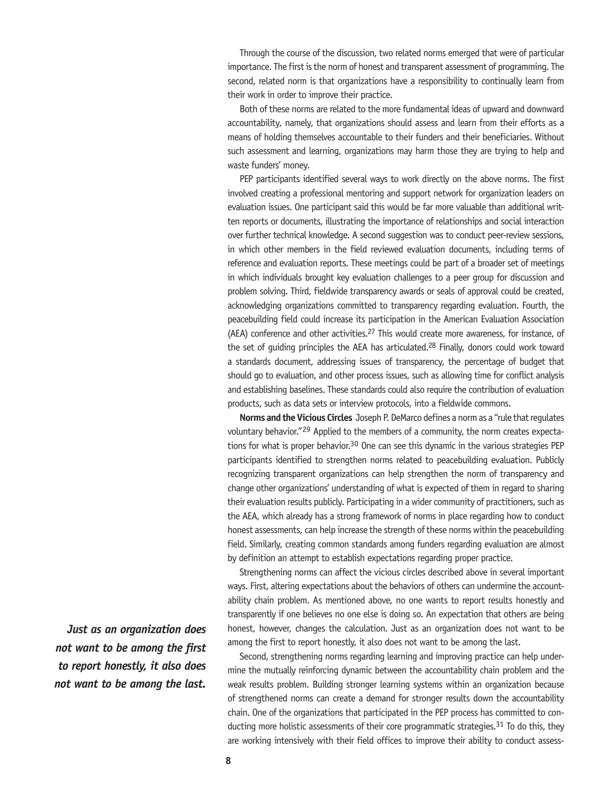Through the course of the discussion, two related norms emerged that were of particular importance. The first is the norm of honest and transparent assessment of programming. The second, related norm is that organizations have a responsibility to continually learn from their work in order to improve their practice.

Both of these norms are related to the more fundamental ideas of upward and downward accountability, namely, that organizations should assess and learn from their efforts as a means of holding themselves accountable to their funders and their beneficiaries. Without such assessment and learning, organizations may harm those they are trying to help and waste funders' money.

PEP participants identified several ways to work directly on the above norms. The first involved creating a professional mentoring and support network for organization leaders on evaluation issues. One participant said this would be far more valuable than additional written reports or documents, illustrating the importance of relationships and social interaction over further technical knowledge. A second suggestion was to conduct peer-review sessions, in which other members in the field reviewed evaluation documents, including terms of reference and evaluation reports. These meetings could be part of a broader set of meetings in which individuals brought key evaluation challenges to a peer group for discussion and problem solving. Third, fieldwide transparency awards or seals of approval could be created, acknowledging organizations committed to transparency regarding evaluation. Fourth, the peacebuilding field could increase its participation in the American Evaluation Association (AEA) conference and other activities.27 This would create more awareness, for instance, of the set of quiding principles the AEA has articulated.<sup>28</sup> Finally, donors could work toward a standards document, addressing issues of transparency, the percentage of budget that should go to evaluation, and other process issues, such as allowing time for conflict analysis and establishing baselines. These standards could also require the contribution of evaluation products, such as data sets or interview protocols, into a fieldwide commons.

**Norms and the Vicious Circles** Joseph P. DeMarco defines a norm as a "rule that regulates voluntary behavior."29 Applied to the members of a community, the norm creates expectations for what is proper behavior.30 One can see this dynamic in the various strategies PEP participants identified to strengthen norms related to peacebuilding evaluation. Publicly recognizing transparent organizations can help strengthen the norm of transparency and change other organizations' understanding of what is expected of them in regard to sharing their evaluation results publicly. Participating in a wider community of practitioners, such as the AEA, which already has a strong framework of norms in place regarding how to conduct honest assessments, can help increase the strength of these norms within the peacebuilding field. Similarly, creating common standards among funders regarding evaluation are almost by definition an attempt to establish expectations regarding proper practice.

Strengthening norms can affect the vicious circles described above in several important ways. First, altering expectations about the behaviors of others can undermine the accountability chain problem. As mentioned above, no one wants to report results honestly and transparently if one believes no one else is doing so. An expectation that others are being honest, however, changes the calculation. Just as an organization does not want to be among the first to report honestly, it also does not want to be among the last.

Second, strengthening norms regarding learning and improving practice can help undermine the mutually reinforcing dynamic between the accountability chain problem and the weak results problem. Building stronger learning systems within an organization because of strengthened norms can create a demand for stronger results down the accountability chain. One of the organizations that participated in the PEP process has committed to conducting more holistic assessments of their core programmatic strategies.<sup>31</sup> To do this, they are working intensively with their field offices to improve their ability to conduct assess-

*Just as an organization does not want to be among the first to report honestly, it also does not want to be among the last.*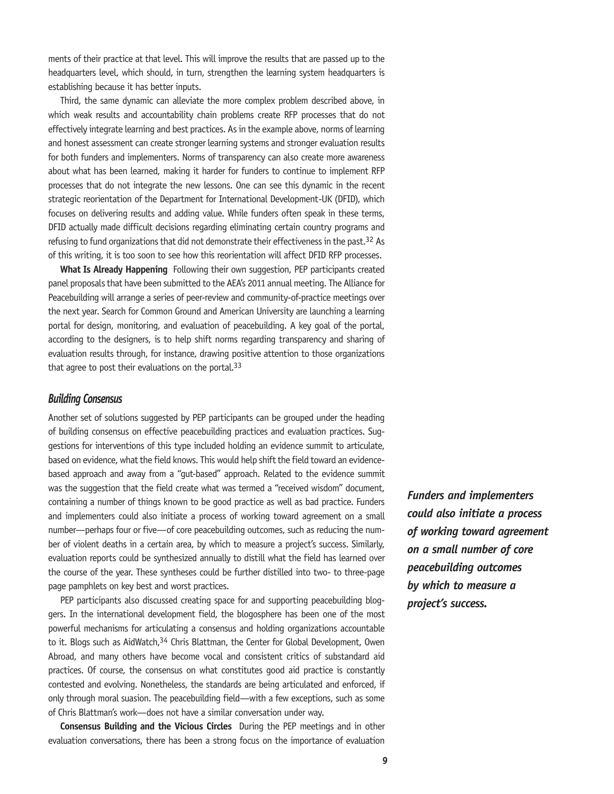ments of their practice at that level. This will improve the results that are passed up to the headquarters level, which should, in turn, strengthen the learning system headquarters is establishing because it has better inputs.

Third, the same dynamic can alleviate the more complex problem described above, in which weak results and accountability chain problems create RFP processes that do not effectively integrate learning and best practices. As in the example above, norms of learning and honest assessment can create stronger learning systems and stronger evaluation results for both funders and implementers. Norms of transparency can also create more awareness about what has been learned, making it harder for funders to continue to implement RFP processes that do not integrate the new lessons. One can see this dynamic in the recent strategic reorientation of the Department for International Development-UK (DFID), which focuses on delivering results and adding value. While funders often speak in these terms, DFID actually made difficult decisions regarding eliminating certain country programs and refusing to fund organizations that did not demonstrate their effectiveness in the past.<sup>32</sup> As of this writing, it is too soon to see how this reorientation will affect DFID RFP processes.

**What Is Already Happening** Following their own suggestion, PEP participants created panel proposals that have been submitted to the AEA's 2011 annual meeting. The Alliance for Peacebuilding will arrange a series of peer-review and community-of-practice meetings over the next year. Search for Common Ground and American University are launching a learning portal for design, monitoring, and evaluation of peacebuilding. A key goal of the portal, according to the designers, is to help shift norms regarding transparency and sharing of evaluation results through, for instance, drawing positive attention to those organizations that agree to post their evaluations on the portal. $33$ 

#### *Building Consensus*

Another set of solutions suggested by PEP participants can be grouped under the heading of building consensus on effective peacebuilding practices and evaluation practices. Suggestions for interventions of this type included holding an evidence summit to articulate, based on evidence, what the field knows. This would help shift the field toward an evidencebased approach and away from a "gut-based" approach. Related to the evidence summit was the suggestion that the field create what was termed a "received wisdom" document, containing a number of things known to be good practice as well as bad practice. Funders and implementers could also initiate a process of working toward agreement on a small number—perhaps four or five—of core peacebuilding outcomes, such as reducing the number of violent deaths in a certain area, by which to measure a project's success. Similarly, evaluation reports could be synthesized annually to distill what the field has learned over the course of the year. These syntheses could be further distilled into two- to three-page page pamphlets on key best and worst practices.

PEP participants also discussed creating space for and supporting peacebuilding bloggers. In the international development field, the blogosphere has been one of the most powerful mechanisms for articulating a consensus and holding organizations accountable to it. Blogs such as AidWatch, 34 Chris Blattman, the Center for Global Development, Owen Abroad, and many others have become vocal and consistent critics of substandard aid practices. Of course, the consensus on what constitutes good aid practice is constantly contested and evolving. Nonetheless, the standards are being articulated and enforced, if only through moral suasion. The peacebuilding field—with a few exceptions, such as some of Chris Blattman's work—does not have a similar conversation under way.

**Consensus Building and the Vicious Circles** During the PEP meetings and in other evaluation conversations, there has been a strong focus on the importance of evaluation *Funders and implementers could also initiate a process of working toward agreement on a small number of core peacebuilding outcomes by which to measure a project's success.*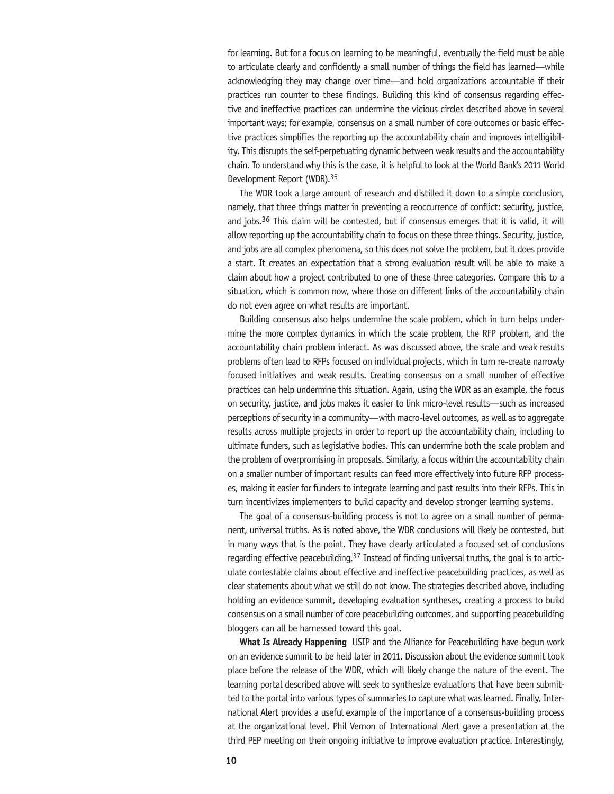for learning. But for a focus on learning to be meaningful, eventually the field must be able to articulate clearly and confidently a small number of things the field has learned—while acknowledging they may change over time—and hold organizations accountable if their practices run counter to these findings. Building this kind of consensus regarding effective and ineffective practices can undermine the vicious circles described above in several important ways; for example, consensus on a small number of core outcomes or basic effective practices simplifies the reporting up the accountability chain and improves intelligibility. This disrupts the self-perpetuating dynamic between weak results and the accountability chain. To understand why this is the case, it is helpful to look at the World Bank's 2011 World Development Report (WDR).35

The WDR took a large amount of research and distilled it down to a simple conclusion, namely, that three things matter in preventing a reoccurrence of conflict: security, justice, and jobs.36 This claim will be contested, but if consensus emerges that it is valid, it will allow reporting up the accountability chain to focus on these three things. Security, justice, and jobs are all complex phenomena, so this does not solve the problem, but it does provide a start. It creates an expectation that a strong evaluation result will be able to make a claim about how a project contributed to one of these three categories. Compare this to a situation, which is common now, where those on different links of the accountability chain do not even agree on what results are important.

Building consensus also helps undermine the scale problem, which in turn helps undermine the more complex dynamics in which the scale problem, the RFP problem, and the accountability chain problem interact. As was discussed above, the scale and weak results problems often lead to RFPs focused on individual projects, which in turn re-create narrowly focused initiatives and weak results. Creating consensus on a small number of effective practices can help undermine this situation. Again, using the WDR as an example, the focus on security, justice, and jobs makes it easier to link micro-level results—such as increased perceptions of security in a community—with macro-level outcomes, as well as to aggregate results across multiple projects in order to report up the accountability chain, including to ultimate funders, such as legislative bodies. This can undermine both the scale problem and the problem of overpromising in proposals. Similarly, a focus within the accountability chain on a smaller number of important results can feed more effectively into future RFP processes, making it easier for funders to integrate learning and past results into their RFPs. This in turn incentivizes implementers to build capacity and develop stronger learning systems.

The goal of a consensus-building process is not to agree on a small number of permanent, universal truths. As is noted above, the WDR conclusions will likely be contested, but in many ways that is the point. They have clearly articulated a focused set of conclusions regarding effective peacebuilding.37 Instead of finding universal truths, the goal is to articulate contestable claims about effective and ineffective peacebuilding practices, as well as clear statements about what we still do not know. The strategies described above, including holding an evidence summit, developing evaluation syntheses, creating a process to build consensus on a small number of core peacebuilding outcomes, and supporting peacebuilding bloggers can all be harnessed toward this goal.

**What Is Already Happening** USIP and the Alliance for Peacebuilding have begun work on an evidence summit to be held later in 2011. Discussion about the evidence summit took place before the release of the WDR, which will likely change the nature of the event. The learning portal described above will seek to synthesize evaluations that have been submitted to the portal into various types of summaries to capture what was learned. Finally, International Alert provides a useful example of the importance of a consensus-building process at the organizational level. Phil Vernon of International Alert gave a presentation at the third PEP meeting on their ongoing initiative to improve evaluation practice. Interestingly,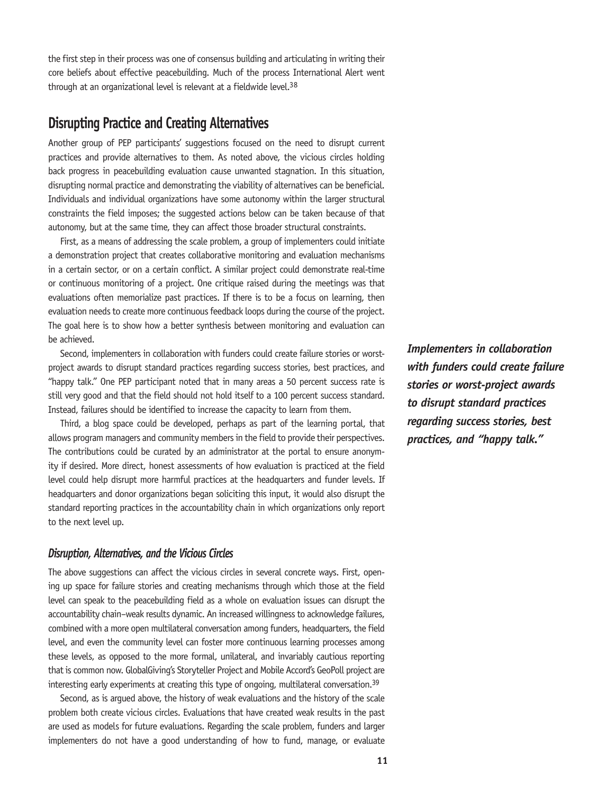the first step in their process was one of consensus building and articulating in writing their core beliefs about effective peacebuilding. Much of the process International Alert went through at an organizational level is relevant at a fieldwide level.<sup>38</sup>

## **Disrupting Practice and Creating Alternatives**

Another group of PEP participants' suggestions focused on the need to disrupt current practices and provide alternatives to them. As noted above, the vicious circles holding back progress in peacebuilding evaluation cause unwanted stagnation. In this situation, disrupting normal practice and demonstrating the viability of alternatives can be beneficial. Individuals and individual organizations have some autonomy within the larger structural constraints the field imposes; the suggested actions below can be taken because of that autonomy, but at the same time, they can affect those broader structural constraints.

First, as a means of addressing the scale problem, a group of implementers could initiate a demonstration project that creates collaborative monitoring and evaluation mechanisms in a certain sector, or on a certain conflict. A similar project could demonstrate real-time or continuous monitoring of a project. One critique raised during the meetings was that evaluations often memorialize past practices. If there is to be a focus on learning, then evaluation needs to create more continuous feedback loops during the course of the project. The goal here is to show how a better synthesis between monitoring and evaluation can be achieved.

Second, implementers in collaboration with funders could create failure stories or worstproject awards to disrupt standard practices regarding success stories, best practices, and "happy talk." One PEP participant noted that in many areas a 50 percent success rate is still very good and that the field should not hold itself to a 100 percent success standard. Instead, failures should be identified to increase the capacity to learn from them.

Third, a blog space could be developed, perhaps as part of the learning portal, that allows program managers and community members in the field to provide their perspectives. The contributions could be curated by an administrator at the portal to ensure anonymity if desired. More direct, honest assessments of how evaluation is practiced at the field level could help disrupt more harmful practices at the headquarters and funder levels. If headquarters and donor organizations began soliciting this input, it would also disrupt the standard reporting practices in the accountability chain in which organizations only report to the next level up.

#### *Disruption, Alternatives, and the Vicious Circles*

The above suggestions can affect the vicious circles in several concrete ways. First, opening up space for failure stories and creating mechanisms through which those at the field level can speak to the peacebuilding field as a whole on evaluation issues can disrupt the accountability chain–weak results dynamic. An increased willingness to acknowledge failures, combined with a more open multilateral conversation among funders, headquarters, the field level, and even the community level can foster more continuous learning processes among these levels, as opposed to the more formal, unilateral, and invariably cautious reporting that is common now. GlobalGiving's Storyteller Project and Mobile Accord's GeoPoll project are interesting early experiments at creating this type of ongoing, multilateral conversation.<sup>39</sup>

Second, as is argued above, the history of weak evaluations and the history of the scale problem both create vicious circles. Evaluations that have created weak results in the past are used as models for future evaluations. Regarding the scale problem, funders and larger implementers do not have a good understanding of how to fund, manage, or evaluate *Implementers in collaboration with funders could create failure stories or worst-project awards to disrupt standard practices regarding success stories, best practices, and "happy talk."*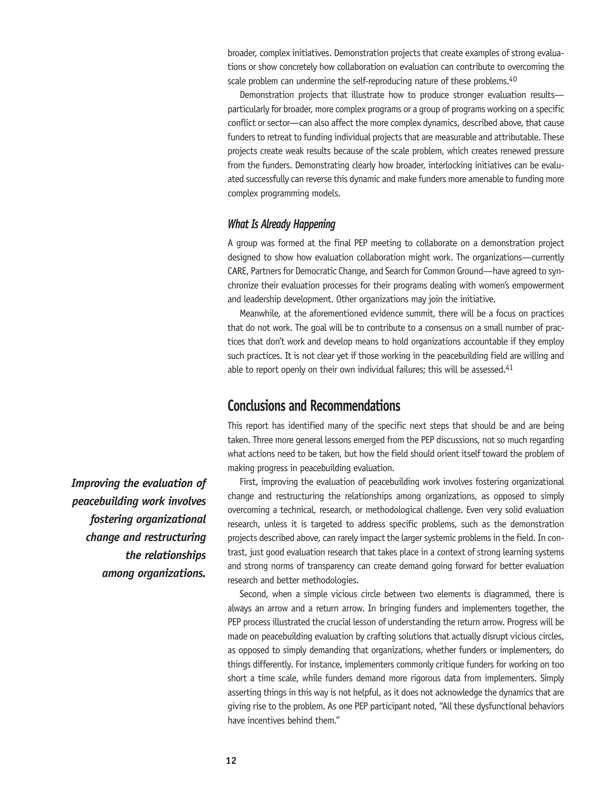broader, complex initiatives. Demonstration projects that create examples of strong evaluations or show concretely how collaboration on evaluation can contribute to overcoming the scale problem can undermine the self-reproducing nature of these problems.<sup>40</sup>

Demonstration projects that illustrate how to produce stronger evaluation results particularly for broader, more complex programs or a group of programs working on a specific conflict or sector—can also affect the more complex dynamics, described above, that cause funders to retreat to funding individual projects that are measurable and attributable. These projects create weak results because of the scale problem, which creates renewed pressure from the funders. Demonstrating clearly how broader, interlocking initiatives can be evaluated successfully can reverse this dynamic and make funders more amenable to funding more complex programming models.

#### *What Is Already Happening*

A group was formed at the final PEP meeting to collaborate on a demonstration project designed to show how evaluation collaboration might work. The organizations—currently CARE, Partners for Democratic Change, and Search for Common Ground—have agreed to synchronize their evaluation processes for their programs dealing with women's empowerment and leadership development. Other organizations may join the initiative.

Meanwhile, at the aforementioned evidence summit, there will be a focus on practices that do not work. The goal will be to contribute to a consensus on a small number of practices that don't work and develop means to hold organizations accountable if they employ such practices. It is not clear yet if those working in the peacebuilding field are willing and able to report openly on their own individual failures; this will be assessed.<sup>41</sup>

## **Conclusions and Recommendations**

This report has identified many of the specific next steps that should be and are being taken. Three more general lessons emerged from the PEP discussions, not so much regarding what actions need to be taken, but how the field should orient itself toward the problem of making progress in peacebuilding evaluation.

First, improving the evaluation of peacebuilding work involves fostering organizational change and restructuring the relationships among organizations, as opposed to simply overcoming a technical, research, or methodological challenge. Even very solid evaluation research, unless it is targeted to address specific problems, such as the demonstration projects described above, can rarely impact the larger systemic problems in the field. In contrast, just good evaluation research that takes place in a context of strong learning systems and strong norms of transparency can create demand going forward for better evaluation research and better methodologies.

Second, when a simple vicious circle between two elements is diagrammed, there is always an arrow and a return arrow. In bringing funders and implementers together, the PEP process illustrated the crucial lesson of understanding the return arrow. Progress will be made on peacebuilding evaluation by crafting solutions that actually disrupt vicious circles, as opposed to simply demanding that organizations, whether funders or implementers, do things differently. For instance, implementers commonly critique funders for working on too short a time scale, while funders demand more rigorous data from implementers. Simply asserting things in this way is not helpful, as it does not acknowledge the dynamics that are giving rise to the problem. As one PEP participant noted, "All these dysfunctional behaviors have incentives behind them."

*Improving the evaluation of peacebuilding work involves fostering organizational change and restructuring the relationships among organizations.*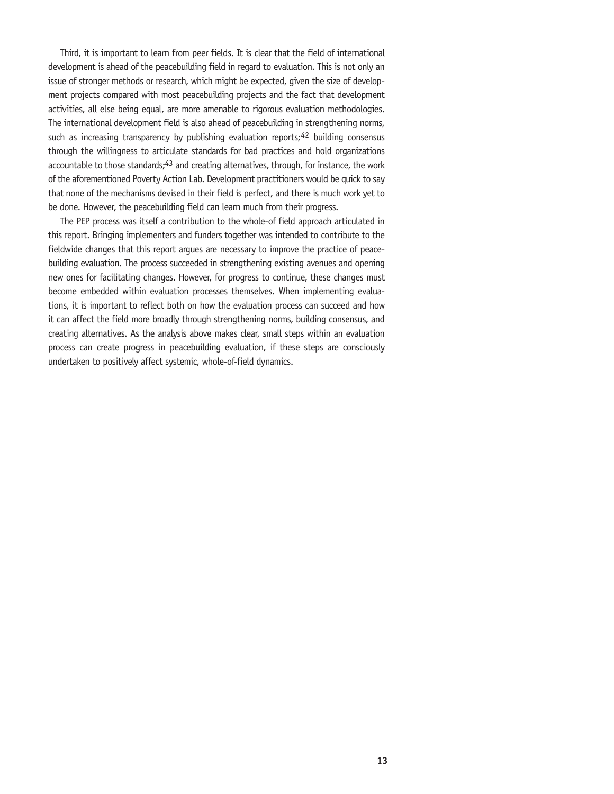Third, it is important to learn from peer fields. It is clear that the field of international development is ahead of the peacebuilding field in regard to evaluation. This is not only an issue of stronger methods or research, which might be expected, given the size of development projects compared with most peacebuilding projects and the fact that development activities, all else being equal, are more amenable to rigorous evaluation methodologies. The international development field is also ahead of peacebuilding in strengthening norms, such as increasing transparency by publishing evaluation reports;  $42$  building consensus through the willingness to articulate standards for bad practices and hold organizations accountable to those standards;<sup>43</sup> and creating alternatives, through, for instance, the work of the aforementioned Poverty Action Lab. Development practitioners would be quick to say that none of the mechanisms devised in their field is perfect, and there is much work yet to be done. However, the peacebuilding field can learn much from their progress.

The PEP process was itself a contribution to the whole-of field approach articulated in this report. Bringing implementers and funders together was intended to contribute to the fieldwide changes that this report argues are necessary to improve the practice of peacebuilding evaluation. The process succeeded in strengthening existing avenues and opening new ones for facilitating changes. However, for progress to continue, these changes must become embedded within evaluation processes themselves. When implementing evaluations, it is important to reflect both on how the evaluation process can succeed and how it can affect the field more broadly through strengthening norms, building consensus, and creating alternatives. As the analysis above makes clear, small steps within an evaluation process can create progress in peacebuilding evaluation, if these steps are consciously undertaken to positively affect systemic, whole-of-field dynamics.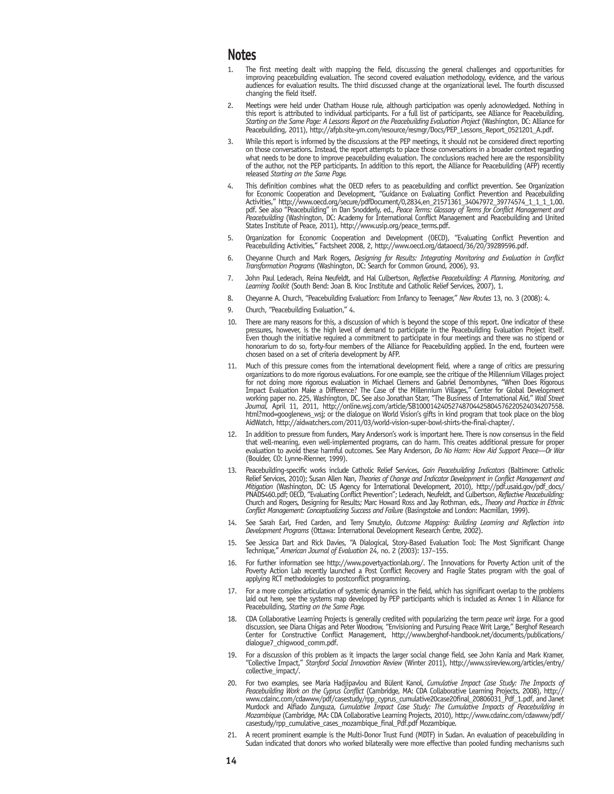#### **Notes**

- 1. The first meeting dealt with mapping the field, discussing the general challenges and opportunities for improving peacebuilding evaluation. The second covered evaluation methodology, evidence, and the various audiences for evaluation results. The third discussed change at the organizational level. The fourth discussed changing the field itself.
- 2. Meetings were held under Chatham House rule, although participation was openly acknowledged. Nothing in this report is attributed to individual participants. For a full list of participants, see Alliance for Peacebuilding, *Starting on the Same Page: A Lessons Report on the Peacebuilding Evaluation Project* (Washington, DC: Alliance for Peacebuilding, 2011), http://afpb.site-ym.com/resource/resmgr/Docs/PEP\_Lessons\_Report\_0521201\_A.pdf.
- While this report is informed by the discussions at the PEP meetings, it should not be considered direct reporting on those conversations. Instead, the report attempts to place those conversations in a broader context regarding what needs to be done to improve peacebuilding evaluation. The conclusions reached here are the responsibility of the author, not the PEP participants. In addition to this report, the Alliance for Peacebuilding (AFP) recently released *Starting on the Same Page.*
- 4. This definition combines what the OECD refers to as peacebuilding and conflict prevention. See Organization for Economic Cooperation and Development, "Guidance on Evaluating Conflict Prevention and Peacebuilding Activities," http://www.oecd.org/secure/pdfDocument/0,2834,en\_21571361\_34047972\_39774574\_1\_1\_1\_1,00. pdf. See also "Peacebuilding" in Dan Snodderly, ed., *Peace Terms: Glossary of Terms for Conflict Management and Peacebuilding* (Washington, DC: Academy for International Conflict Management and Peacebuilding and United States Institute of Peace, 2011), http://www.usip.org/peace\_terms.pdf.
- 5. Organization for Economic Cooperation and Development (OECD), "Evaluating Conflict Prevention and Peacebuilding Activities," Factsheet 2008, 2, http://www.oecd.org/dataoecd/36/20/39289596.pdf.
- 6. Cheyanne Church and Mark Rogers, *Designing for Results: Integrating Monitoring and Evaluation in Conflict Transformation Programs* (Washington, DC: Search for Common Ground, 2006), 93.
- 7. John Paul Lederach, Reina Neufeldt, and Hal Culbertson, *Reflective Peacebuilding: A Planning, Monitoring, and Learning Toolkit* (South Bend: Joan B. Kroc Institute and Catholic Relief Services, 2007), 1.
- 8. Cheyanne A. Church, "Peacebuilding Evaluation: From Infancy to Teenager," *New Routes* 13, no. 3 (2008): 4.
- 9. Church, "Peacebuilding Evaluation," 4.
- 10. There are many reasons for this, a discussion of which is beyond the scope of this report. One indicator of these pressures, however, is the high level of demand to participate in the Peacebuilding Evaluation Project itself. Even though the initiative required a commitment to participate in four meetings and there was no stipend or honorarium to do so, forty-four members of the Alliance for Peacebuilding applied. In the end, fourteen were chosen based on a set of criteria development by AFP.
- 11. Much of this pressure comes from the international development field, where a range of critics are pressuring organizations to do more rigorous evaluations. For one example, see the critique of the Millennium Villages project for not doing more rigorous evaluation in Michael Clemens and Gabriel Demombynes, "When Does Rigorous Impact Evaluation Make a Difference? The Case of the Millennium Villages," Center for Global Development working paper no. 225, Washington, DC. See also Jonathan Starr, "The Business of International Aid," *Wall Street Journal,* April 11, 2011, http://online.wsj.com/article/SB10001424052748704425804576220524034207558. html?mod=googlenews\_wsj; or the dialogue on World Vision's gifts in kind program that took place on the blog AidWatch, http://aidwatchers.com/2011/03/world-vision-super-bowl-shirts-the-final-chapter/.
- 12. In addition to pressure from funders, Mary Anderson's work is important here. There is now consensus in the field that well-meaning, even well-implemented programs, can do harm. This creates additional pressure for proper evaluation to avoid these harmful outcomes. See Mary Anderson, *Do No Harm: How Aid Support Peace—Or War*  (Boulder, CO: Lynne-Rienner, 1999).
- 13. Peacebuilding-specific works include Catholic Relief Services, *Gain Peacebuilding Indicators* (Baltimore: Catholic Relief Services, 2010); Susan Allen Nan, *Theories of Change and Indicator Development in Conflict Management and Mitigation* (Washington, DC: US Agency for International Development, 2010), http://pdf.usaid.gov/pdf\_docs/ PNADS460.pdf; OECD, "Evaluating Conflict Prevention"; Lederach, Neufeldt, and Culbertson, *Reflective Peacebuilding;* Church and Rogers, Designing for Results; Marc Howard Ross and Jay Rothman, eds., *Theory and Practice in Ethnic Conflict Management: Conceptualizing Success and Failure* (Basingstoke and London: Macmillan, 1999).
- 14. See Sarah Earl, Fred Carden, and Terry Smutylo, *Outcome Mapping: Building Learning and Reflection into Development Programs* (Ottawa: International Development Research Centre, 2002).
- 15. See Jessica Dart and Rick Davies, "A Dialogical, Story-Based Evaluation Tool: The Most Significant Change Technique," *American Journal of Evaluation* 24, no. 2 (2003): 137–155.
- 16. For further information see http://www.povertyactionlab.org/. The Innovations for Poverty Action unit of the Poverty Action Lab recently launched a Post Conflict Recovery and Fragile States program with the goal of applying RCT methodologies to postconflict programming.
- 17. For a more complex articulation of systemic dynamics in the field, which has significant overlap to the problems laid out here, see the systems map developed by PEP participants which is included as Annex 1 in Alliance for Peacebuilding, *Starting on the Same Page.*
- 18. CDA Collaborative Learning Projects is generally credited with popularizing the term *peace writ large.* For a good discussion, see Diana Chigas and Peter Woodrow, "Envisioning and Pursuing Peace Writ Large," Berghof Research Center for Constructive Conflict Management, http://www.berghof-handbook.net/documents/publications/ dialogue7\_chigwood\_comm.pdf.
- 19. For a discussion of this problem as it impacts the larger social change field, see John Kania and Mark Kramer, "Collective Impact," *Stanford Social Innovation Review* (Winter 2011), http://www.ssireview.org/articles/entry/ collective\_impact/.
- 20. For two examples, see Maria Hadjipavlou and Bülent Kanol, *Cumulative Impact Case Study: The Impacts of Peacebuilding Work on the Cyprus Conflict* (Cambridge, MA: CDA Collaborative Learning Projects, 2008), http:// www.cdainc.com/cdawww/pdf/casestudy/rpp\_cyprus\_cumulative20case20final\_20806031\_Pdf\_1.pdf, and Janet Murdock and Alfiado Zunguza, *Cumulative Impact Case Study: The Cumulative Impacts of Peacebuilding in Mozambique* (Cambridge, MA: CDA Collaborative Learning Projects, 2010), http://www.cdainc.com/cdawww/pdf/ casestudy/rpp\_cumulative\_cases\_mozambique\_final\_Pdf.pdf Mozambique.
- 21. A recent prominent example is the Multi-Donor Trust Fund (MDTF) in Sudan. An evaluation of peacebuilding in Sudan indicated that donors who worked bilaterally were more effective than pooled funding mechanisms such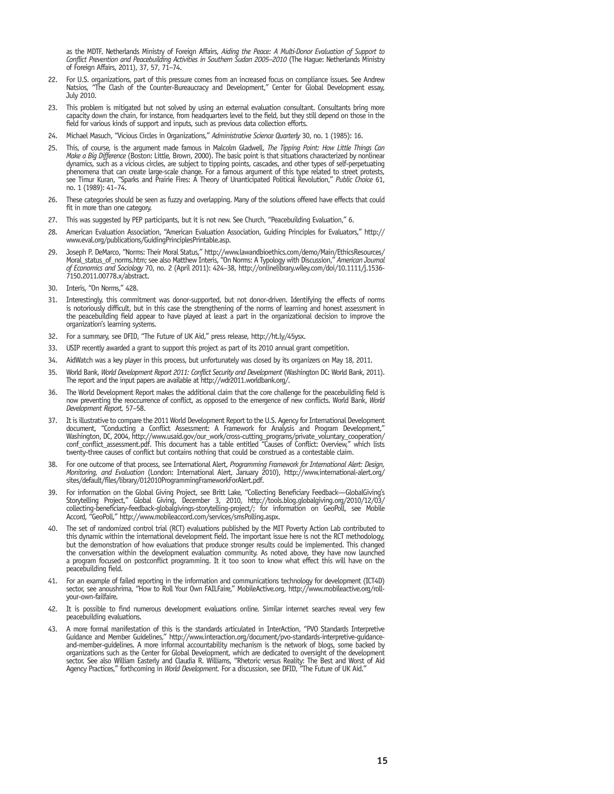as the MDTF. Netherlands Ministry of Foreign Affairs, *Aiding the Peace: A Multi-Donor Evaluation of Support to Conflict Prevention and Peacebuilding Activities in Southern Sudan 2005–2010* (The Hague: Netherlands Ministry of Foreign Affairs, 2011), 37, 57, 71–74.

- 22. For U.S. organizations, part of this pressure comes from an increased focus on compliance issues. See Andrew Natsios, "The Clash of the Counter-Bureaucracy and Development," Center for Global Development essay, July 2010.
- 23. This problem is mitigated but not solved by using an external evaluation consultant. Consultants bring more capacity down the chain, for instance, from headquarters level to the field, but they still depend on those in the field for various kinds of support and inputs, such as previous data collection efforts.
- 24. Michael Masuch, "Vicious Circles in Organizations," *Administrative Science Quarterly* 30, no. 1 (1985): 16.
- 25. This, of course, is the argument made famous in Malcolm Gladwell, *The Tipping Point: How Little Things Can Make a Big Difference* (Boston: Little, Brown, 2000). The basic point is that situations characterized by nonlinear dynamics, such as a vicious circles, are subject to tipping points, cascades, and other types of self-perpetuating phenomena that can create large-scale change. For a famous argument of this type related to street protests, see Timur Kuran, "Sparks and Prairie Fires: A Theory of Unanticipated Political Revolution," *Public Choice* 61, no. 1 (1989): 41–74.
- 26. These categories should be seen as fuzzy and overlapping. Many of the solutions offered have effects that could fit in more than one category.
- 27. This was suggested by PEP participants, but it is not new. See Church, "Peacebuilding Evaluation," 6.
- 28. American Evaluation Association, "American Evaluation Association, Guiding Principles for Evaluators," http:// www.eval.org/publications/GuidingPrinciplesPrintable.asp.
- 29. Joseph P. DeMarco, "Norms: Their Moral Status," http://www.lawandbioethics.com/demo/Main/EthicsResources/ Moral\_status\_of\_norms.htm; see also Matthew Interis, "On Norms: A Typology with Discussion," *American Journal of Economics and Sociology* 70, no. 2 (April 2011): 424–38, http://onlinelibrary.wiley.com/doi/10.1111/j.1536- 7150.2011.00778.x/abstract.
- Interis, "On Norms," 428.
- 31. Interestingly, this commitment was donor-supported, but not donor-driven. Identifying the effects of norms is notoriously difficult, but in this case the strengthening of the norms of learning and honest assessment in the peacebuilding field appear to have played at least a part in the organizational decision to improve the organization's learning systems.
- 32. For a summary, see DFID, "The Future of UK Aid," press release, http://ht.ly/45ysx.
- 33. USIP recently awarded a grant to support this project as part of its 2010 annual grant competition.
- 34. AidWatch was a key player in this process, but unfortunately was closed by its organizers on May 18, 2011.
- 35. World Bank, *World Development Report 2011: Conflict Security and Development* (Washington DC: World Bank, 2011). The report and the input papers are available at http://wdr2011.worldbank.org/.
- 36. The World Development Report makes the additional claim that the core challenge for the peacebuilding field is now preventing the reoccurrence of conflict, as opposed to the emergence of new conflicts. World Bank, *World Development Report,* 57–58.
- 37. It is illustrative to compare the 2011 World Development Report to the U.S. Agency for International Development document, "Conducting a Conflict Assessment: A Framework for Analysis and Program Development," Washington, DC, 2004, http://www.usaid.gov/our\_work/cross-cutting\_programs/private\_voluntary\_cooperation/ conf\_conflict\_assessment.pdf. This document has a table entitled "Causes of Conflict: Overview," which lists twenty-three causes of conflict but contains nothing that could be construed as a contestable claim.
- 38. For one outcome of that process, see International Alert, *Programming Framework for International Alert: Design, Monitoring, and Evaluation* (London: International Alert, January 2010), http://www.international-alert.org/ sites/default/files/library/012010ProgrammingFrameworkForAlert.pdf.
- 39. For information on the Global Giving Project, see Britt Lake, "Collecting Beneficiary Feedback—GlobalGiving's Storytelling Project," Global Giving, December 3, 2010, http://tools.blog.globalgiving.org/2010/12/03/ collecting-beneficiary-feedback-globalgivings-storytelling-project/; for information on GeoPoll, see Mobile Accord, "GeoPoll," http://www.mobileaccord.com/services/smsPolling.aspx.
- 40. The set of randomized control trial (RCT) evaluations published by the MIT Poverty Action Lab contributed to this dynamic within the international development field. The important issue here is not the RCT methodology, but the demonstration of how evaluations that produce stronger results could be implemented. This changed the conversation within the development evaluation community. As noted above, they have now launched a program focused on postconflict programming. It it too soon to know what effect this will have on the peacebuilding field.
- 41. For an example of failed reporting in the information and communications technology for development (ICT4D) sector, see anoushrima, "How to Roll Your Own FAILFaire," MobileActive.org, http://www.mobileactive.org/rollyour-own-failfaire.
- 42. It is possible to find numerous development evaluations online. Similar internet searches reveal very few peacebuilding evaluations.
- A more formal manifestation of this is the standards articulated in InterAction, "PVO Standards Interpretive Guidance and Member Guidelines," http://www.interaction.org/document/pvo-standards-interpretive-guidanceand-member-guidelines. A more informal accountability mechanism is the network of blogs, some backed by organizations such as the Center for Global Development, which are dedicated to oversight of the development sector. See also William Easterly and Claudia R. Williams, "Rhetoric versus Reality: The Best and Worst of Aid Agency Practices," forthcoming in *World Development.* For a discussion, see DFID, "The Future of UK Aid."